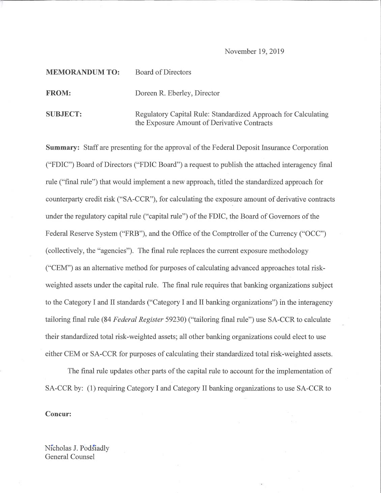### November 19, 2019

# MEMORANDUM TO: Board of Directors

FROM: Doreen R. Eberley, Director

SUBJECT: Regulatory Capital Rule: Standardized Approach for Calculating the Exposure Amount of Derivative Contracts

Summary: Staff are presenting for the approval of the Federal Deposit Insurance Corporation ("FDIC") Board of Directors ("FDIC Board") a request to publish the attached interagency final rule ("final rule") that would implement a new approach, titled the standardized approach for counterparty credit risk ("SA-CCR"), for calculating the exposure amount of derivative contracts under the regulatory capital rule ("capital rule") of the FDIC, the Board of Governors of the Federal Reserve System ("FRB"), and the Office of the Comptroller of the Currency ("OCC") (collectively, the "agencies"). The final rule replaces the current exposure methodology ("CEM") as an alternative method for purposes of calculating advanced approaches total riskweighted assets under the capital rule. The final rule requires that banking organizations subject to the Category I and II standards ("Category I and II banking organizations") in the interagency tailoring final rule (84 Federal Register 59230) ("tailoring final rule") use SA-CCR to calculate their standardized total risk-weighted assets; all other banking organizations could elect to use either CEM or SA-CCR for purposes of calculating their standardized total risk-weighted assets.

The final rule updates other parts of the capital rule to account for the implementation of SA-CCR by: (1) requiring Category I and Category II banking organizations to use SA-CCR to

#### Concur:

Nicholas J. Podsiadly General Counsel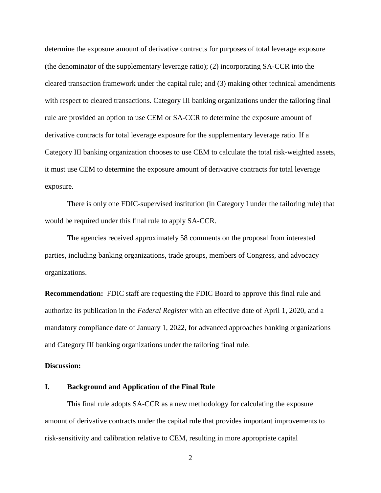determine the exposure amount of derivative contracts for purposes of total leverage exposure (the denominator of the supplementary leverage ratio); (2) incorporating SA-CCR into the cleared transaction framework under the capital rule; and (3) making other technical amendments with respect to cleared transactions. Category III banking organizations under the tailoring final rule are provided an option to use CEM or SA-CCR to determine the exposure amount of derivative contracts for total leverage exposure for the supplementary leverage ratio. If a Category III banking organization chooses to use CEM to calculate the total risk-weighted assets, it must use CEM to determine the exposure amount of derivative contracts for total leverage exposure.

There is only one FDIC-supervised institution (in Category I under the tailoring rule) that would be required under this final rule to apply SA-CCR.

The agencies received approximately 58 comments on the proposal from interested parties, including banking organizations, trade groups, members of Congress, and advocacy organizations.

**Recommendation:** FDIC staff are requesting the FDIC Board to approve this final rule and authorize its publication in the *Federal Register* with an effective date of April 1, 2020, and a mandatory compliance date of January 1, 2022, for advanced approaches banking organizations and Category III banking organizations under the tailoring final rule.

### **Discussion:**

## **I. Background and Application of the Final Rule**

This final rule adopts SA-CCR as a new methodology for calculating the exposure amount of derivative contracts under the capital rule that provides important improvements to risk-sensitivity and calibration relative to CEM, resulting in more appropriate capital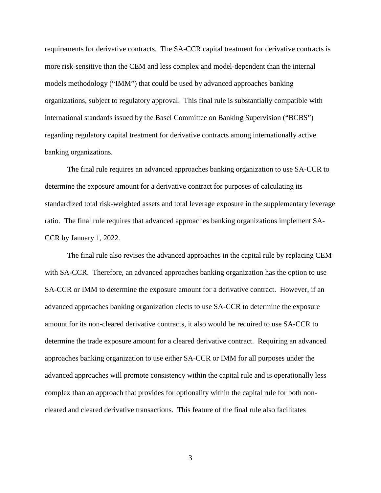requirements for derivative contracts. The SA-CCR capital treatment for derivative contracts is more risk-sensitive than the CEM and less complex and model-dependent than the internal models methodology ("IMM") that could be used by advanced approaches banking organizations, subject to regulatory approval. This final rule is substantially compatible with international standards issued by the Basel Committee on Banking Supervision ("BCBS") regarding regulatory capital treatment for derivative contracts among internationally active banking organizations.

The final rule requires an advanced approaches banking organization to use SA-CCR to determine the exposure amount for a derivative contract for purposes of calculating its standardized total risk-weighted assets and total leverage exposure in the supplementary leverage ratio. The final rule requires that advanced approaches banking organizations implement SA-CCR by January 1, 2022.

The final rule also revises the advanced approaches in the capital rule by replacing CEM with SA-CCR. Therefore, an advanced approaches banking organization has the option to use SA-CCR or IMM to determine the exposure amount for a derivative contract. However, if an advanced approaches banking organization elects to use SA-CCR to determine the exposure amount for its non-cleared derivative contracts, it also would be required to use SA-CCR to determine the trade exposure amount for a cleared derivative contract. Requiring an advanced approaches banking organization to use either SA-CCR or IMM for all purposes under the advanced approaches will promote consistency within the capital rule and is operationally less complex than an approach that provides for optionality within the capital rule for both noncleared and cleared derivative transactions. This feature of the final rule also facilitates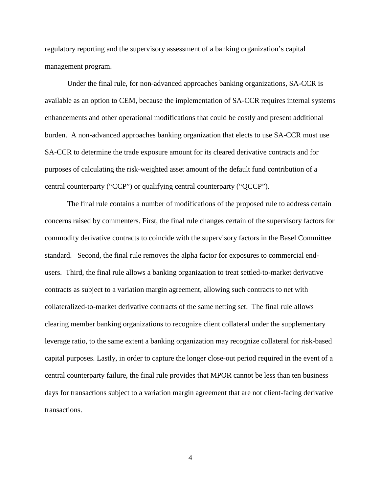regulatory reporting and the supervisory assessment of a banking organization's capital management program.

Under the final rule, for non-advanced approaches banking organizations, SA-CCR is available as an option to CEM, because the implementation of SA-CCR requires internal systems enhancements and other operational modifications that could be costly and present additional burden. A non-advanced approaches banking organization that elects to use SA-CCR must use SA-CCR to determine the trade exposure amount for its cleared derivative contracts and for purposes of calculating the risk-weighted asset amount of the default fund contribution of a central counterparty ("CCP") or qualifying central counterparty ("QCCP").

The final rule contains a number of modifications of the proposed rule to address certain concerns raised by commenters. First, the final rule changes certain of the supervisory factors for commodity derivative contracts to coincide with the supervisory factors in the Basel Committee standard. Second, the final rule removes the alpha factor for exposures to commercial endusers. Third, the final rule allows a banking organization to treat settled-to-market derivative contracts as subject to a variation margin agreement, allowing such contracts to net with collateralized-to-market derivative contracts of the same netting set. The final rule allows clearing member banking organizations to recognize client collateral under the supplementary leverage ratio, to the same extent a banking organization may recognize collateral for risk-based capital purposes. Lastly, in order to capture the longer close-out period required in the event of a central counterparty failure, the final rule provides that MPOR cannot be less than ten business days for transactions subject to a variation margin agreement that are not client-facing derivative transactions.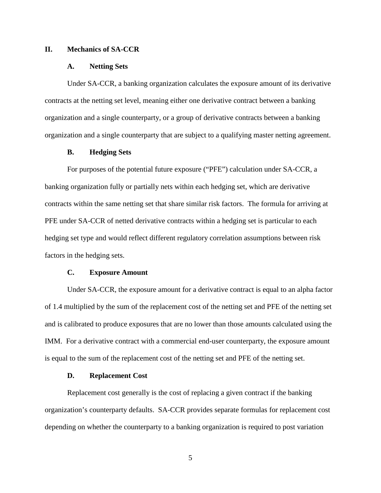### **II. Mechanics of SA-CCR**

### **A. Netting Sets**

Under SA-CCR, a banking organization calculates the exposure amount of its derivative contracts at the netting set level, meaning either one derivative contract between a banking organization and a single counterparty, or a group of derivative contracts between a banking organization and a single counterparty that are subject to a qualifying master netting agreement.

### **B. Hedging Sets**

For purposes of the potential future exposure ("PFE") calculation under SA-CCR, a banking organization fully or partially nets within each hedging set, which are derivative contracts within the same netting set that share similar risk factors. The formula for arriving at PFE under SA-CCR of netted derivative contracts within a hedging set is particular to each hedging set type and would reflect different regulatory correlation assumptions between risk factors in the hedging sets.

### **C. Exposure Amount**

Under SA-CCR, the exposure amount for a derivative contract is equal to an alpha factor of 1.4 multiplied by the sum of the replacement cost of the netting set and PFE of the netting set and is calibrated to produce exposures that are no lower than those amounts calculated using the IMM. For a derivative contract with a commercial end-user counterparty, the exposure amount is equal to the sum of the replacement cost of the netting set and PFE of the netting set.

#### **D. Replacement Cost**

Replacement cost generally is the cost of replacing a given contract if the banking organization's counterparty defaults. SA-CCR provides separate formulas for replacement cost depending on whether the counterparty to a banking organization is required to post variation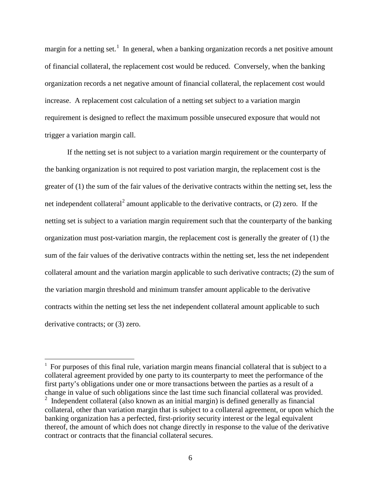margin for a netting set.<sup>[1](#page-5-0)</sup> In general, when a banking organization records a net positive amount of financial collateral, the replacement cost would be reduced. Conversely, when the banking organization records a net negative amount of financial collateral, the replacement cost would increase. A replacement cost calculation of a netting set subject to a variation margin requirement is designed to reflect the maximum possible unsecured exposure that would not trigger a variation margin call.

If the netting set is not subject to a variation margin requirement or the counterparty of the banking organization is not required to post variation margin, the replacement cost is the greater of (1) the sum of the fair values of the derivative contracts within the netting set, less the net independent collateral<sup>[2](#page-5-1)</sup> amount applicable to the derivative contracts, or  $(2)$  zero. If the netting set is subject to a variation margin requirement such that the counterparty of the banking organization must post-variation margin, the replacement cost is generally the greater of (1) the sum of the fair values of the derivative contracts within the netting set, less the net independent collateral amount and the variation margin applicable to such derivative contracts; (2) the sum of the variation margin threshold and minimum transfer amount applicable to the derivative contracts within the netting set less the net independent collateral amount applicable to such derivative contracts; or (3) zero.

 $\overline{\phantom{a}}$ 

<span id="page-5-0"></span><sup>&</sup>lt;sup>1</sup> For purposes of this final rule, variation margin means financial collateral that is subject to a collateral agreement provided by one party to its counterparty to meet the performance of the first party's obligations under one or more transactions between the parties as a result of a change in value of such obligations since the last time such financial collateral was provided.

<span id="page-5-1"></span><sup>&</sup>lt;sup>2</sup> Independent collateral (also known as an initial margin) is defined generally as financial collateral, other than variation margin that is subject to a collateral agreement, or upon which the banking organization has a perfected, first-priority security interest or the legal equivalent thereof, the amount of which does not change directly in response to the value of the derivative contract or contracts that the financial collateral secures.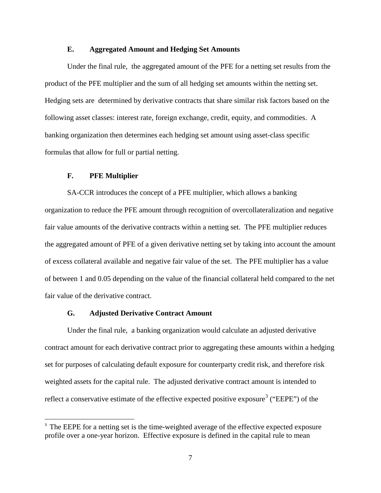### **E. Aggregated Amount and Hedging Set Amounts**

Under the final rule, the aggregated amount of the PFE for a netting set results from the product of the PFE multiplier and the sum of all hedging set amounts within the netting set. Hedging sets are determined by derivative contracts that share similar risk factors based on the following asset classes: interest rate, foreign exchange, credit, equity, and commodities. A banking organization then determines each hedging set amount using asset-class specific formulas that allow for full or partial netting.

### **F. PFE Multiplier**

SA-CCR introduces the concept of a PFE multiplier, which allows a banking organization to reduce the PFE amount through recognition of overcollateralization and negative fair value amounts of the derivative contracts within a netting set. The PFE multiplier reduces the aggregated amount of PFE of a given derivative netting set by taking into account the amount of excess collateral available and negative fair value of the set. The PFE multiplier has a value of between 1 and 0.05 depending on the value of the financial collateral held compared to the net fair value of the derivative contract.

### **G. Adjusted Derivative Contract Amount**

Under the final rule, a banking organization would calculate an adjusted derivative contract amount for each derivative contract prior to aggregating these amounts within a hedging set for purposes of calculating default exposure for counterparty credit risk, and therefore risk weighted assets for the capital rule. The adjusted derivative contract amount is intended to reflect a conservative estimate of the effective expected positive exposure<sup>[3](#page-6-0)</sup> ("EEPE") of the

<span id="page-6-0"></span><sup>-&</sup>lt;br>3 <sup>3</sup> The EEPE for a netting set is the time-weighted average of the effective expected exposure profile over a one-year horizon. Effective exposure is defined in the capital rule to mean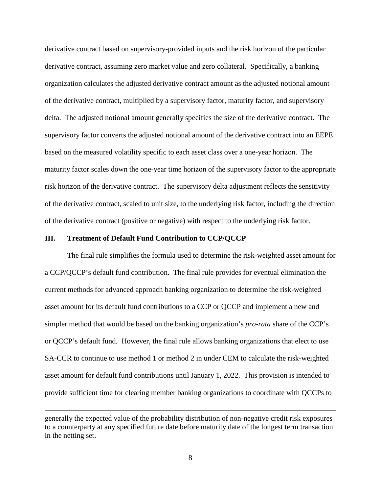derivative contract based on supervisory-provided inputs and the risk horizon of the particular derivative contract, assuming zero market value and zero collateral. Specifically, a banking organization calculates the adjusted derivative contract amount as the adjusted notional amount of the derivative contract, multiplied by a supervisory factor, maturity factor, and supervisory delta. The adjusted notional amount generally specifies the size of the derivative contract. The supervisory factor converts the adjusted notional amount of the derivative contract into an EEPE based on the measured volatility specific to each asset class over a one-year horizon. The maturity factor scales down the one-year time horizon of the supervisory factor to the appropriate risk horizon of the derivative contract. The supervisory delta adjustment reflects the sensitivity of the derivative contract, scaled to unit size, to the underlying risk factor, including the direction of the derivative contract (positive or negative) with respect to the underlying risk factor.

#### **III. Treatment of Default Fund Contribution to CCP/QCCP**

 $\overline{\phantom{a}}$ 

The final rule simplifies the formula used to determine the risk-weighted asset amount for a CCP/QCCP's default fund contribution. The final rule provides for eventual elimination the current methods for advanced approach banking organization to determine the risk-weighted asset amount for its default fund contributions to a CCP or QCCP and implement a new and simpler method that would be based on the banking organization's *pro-rata* share of the CCP's or QCCP's default fund. However, the final rule allows banking organizations that elect to use SA-CCR to continue to use method 1 or method 2 in under CEM to calculate the risk-weighted asset amount for default fund contributions until January 1, 2022. This provision is intended to provide sufficient time for clearing member banking organizations to coordinate with QCCPs to

generally the expected value of the probability distribution of non-negative credit risk exposures to a counterparty at any specified future date before maturity date of the longest term transaction in the netting set.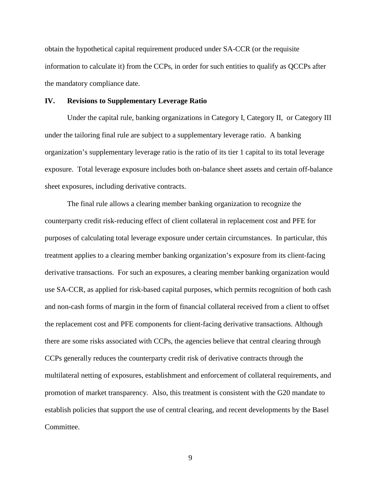obtain the hypothetical capital requirement produced under SA-CCR (or the requisite information to calculate it) from the CCPs, in order for such entities to qualify as QCCPs after the mandatory compliance date.

### **IV. Revisions to Supplementary Leverage Ratio**

Under the capital rule, banking organizations in Category I, Category II, or Category III under the tailoring final rule are subject to a supplementary leverage ratio. A banking organization's supplementary leverage ratio is the ratio of its tier 1 capital to its total leverage exposure. Total leverage exposure includes both on-balance sheet assets and certain off-balance sheet exposures, including derivative contracts.

The final rule allows a clearing member banking organization to recognize the counterparty credit risk-reducing effect of client collateral in replacement cost and PFE for purposes of calculating total leverage exposure under certain circumstances. In particular, this treatment applies to a clearing member banking organization's exposure from its client-facing derivative transactions. For such an exposures, a clearing member banking organization would use SA-CCR, as applied for risk-based capital purposes, which permits recognition of both cash and non-cash forms of margin in the form of financial collateral received from a client to offset the replacement cost and PFE components for client-facing derivative transactions. Although there are some risks associated with CCPs, the agencies believe that central clearing through CCPs generally reduces the counterparty credit risk of derivative contracts through the multilateral netting of exposures, establishment and enforcement of collateral requirements, and promotion of market transparency. Also, this treatment is consistent with the G20 mandate to establish policies that support the use of central clearing, and recent developments by the Basel Committee.